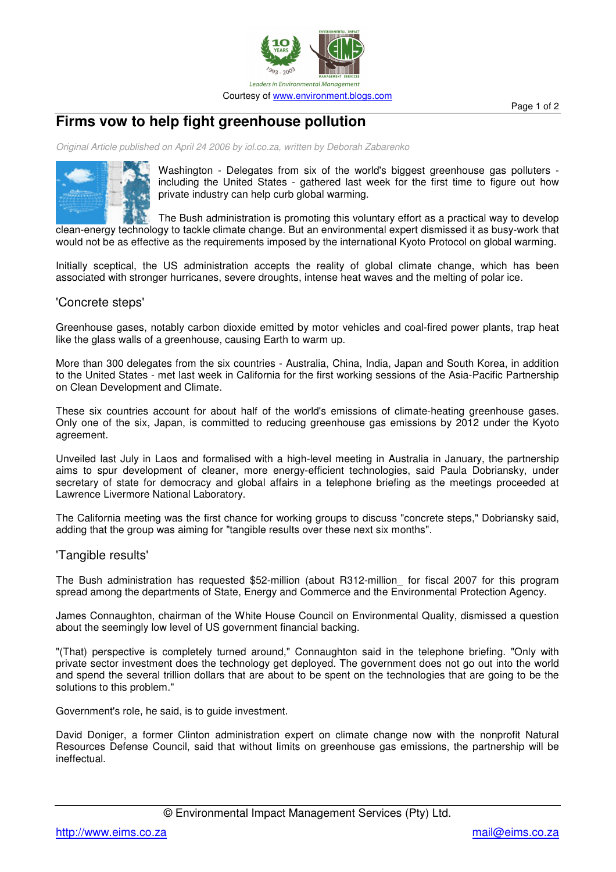

**Firms vow to help fight greenhouse pollution**

*Original Article published on April 24 2006 by iol.co.za, written by Deborah Zabarenko*



Washington - Delegates from six of the world's biggest greenhouse gas polluters including the United States - gathered last week for the first time to figure out how private industry can help curb global warming.

The Bush administration is promoting this voluntary effort as a practical way to develop clean-energy technology to tackle climate change. But an environmental expert dismissed it as busy-work that would not be as effective as the requirements imposed by the international Kyoto Protocol on global warming.

Initially sceptical, the US administration accepts the reality of global climate change, which has been associated with stronger hurricanes, severe droughts, intense heat waves and the melting of polar ice.

## 'Concrete steps'

Greenhouse gases, notably carbon dioxide emitted by motor vehicles and coal-fired power plants, trap heat like the glass walls of a greenhouse, causing Earth to warm up.

More than 300 delegates from the six countries - Australia, China, India, Japan and South Korea, in addition to the United States - met last week in California for the first working sessions of the Asia-Pacific Partnership on Clean Development and Climate.

These six countries account for about half of the world's emissions of climate-heating greenhouse gases. Only one of the six, Japan, is committed to reducing greenhouse gas emissions by 2012 under the Kyoto agreement.

Unveiled last July in Laos and formalised with a high-level meeting in Australia in January, the partnership aims to spur development of cleaner, more energy-efficient technologies, said Paula Dobriansky, under secretary of state for democracy and global affairs in a telephone briefing as the meetings proceeded at Lawrence Livermore National Laboratory.

The California meeting was the first chance for working groups to discuss "concrete steps," Dobriansky said, adding that the group was aiming for "tangible results over these next six months".

## 'Tangible results'

The Bush administration has requested \$52-million (about R312-million\_ for fiscal 2007 for this program spread among the departments of State, Energy and Commerce and the Environmental Protection Agency.

James Connaughton, chairman of the White House Council on Environmental Quality, dismissed a question about the seemingly low level of US government financial backing.

"(That) perspective is completely turned around," Connaughton said in the telephone briefing. "Only with private sector investment does the technology get deployed. The government does not go out into the world and spend the several trillion dollars that are about to be spent on the technologies that are going to be the solutions to this problem."

Government's role, he said, is to guide investment.

David Doniger, a former Clinton administration expert on climate change now with the nonprofit Natural Resources Defense Council, said that without limits on greenhouse gas emissions, the partnership will be ineffectual.

Page 1 of 2